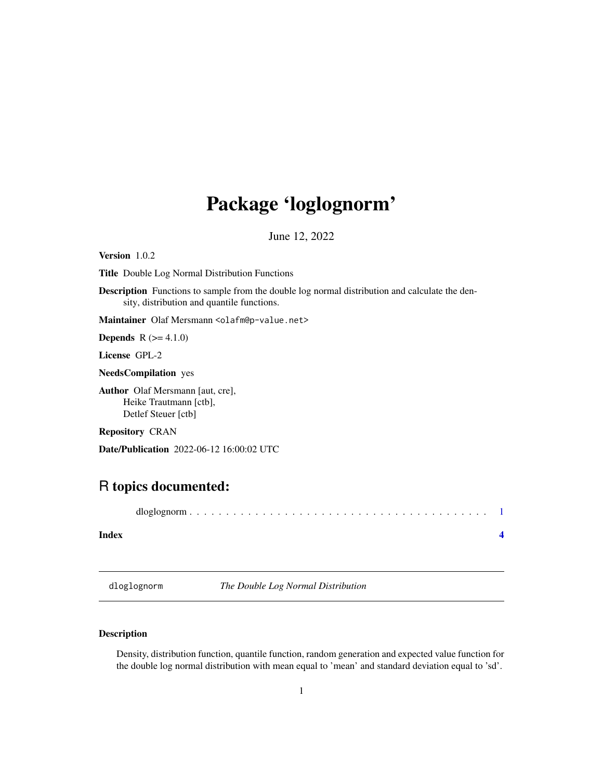## <span id="page-0-0"></span>Package 'loglognorm'

June 12, 2022

Version 1.0.2

Title Double Log Normal Distribution Functions

Description Functions to sample from the double log normal distribution and calculate the density, distribution and quantile functions.

Maintainer Olaf Mersmann <olafm@p-value.net>

**Depends**  $R (= 4.1.0)$ 

License GPL-2

NeedsCompilation yes

Author Olaf Mersmann [aut, cre], Heike Trautmann [ctb], Detlef Steuer [ctb]

Repository CRAN

Date/Publication 2022-06-12 16:00:02 UTC

### R topics documented:

#### **Index** [4](#page-3-0)

dloglognorm *The Double Log Normal Distribution*

#### Description

Density, distribution function, quantile function, random generation and expected value function for the double log normal distribution with mean equal to 'mean' and standard deviation equal to 'sd'.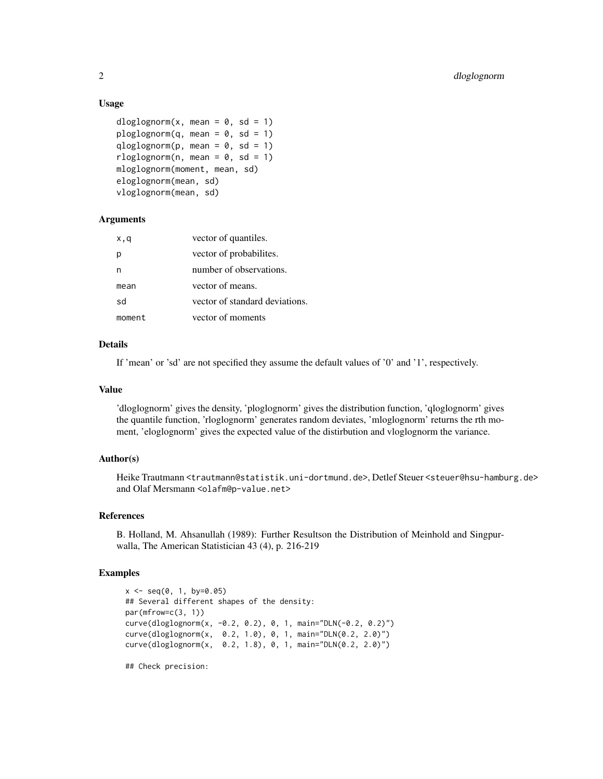#### Usage

```
dloglognorm(x, \text{mean} = 0, \text{sd} = 1)ploglognorm(q, mean = 0, sd = 1)qloglognorm(p, mean = 0, sd = 1)
rloglognorm(n, mean = 0, sd = 1)
mloglognorm(moment, mean, sd)
eloglognorm(mean, sd)
vloglognorm(mean, sd)
```
#### Arguments

| x,q    | vector of quantiles.           |
|--------|--------------------------------|
| р      | vector of probabilities.       |
| n      | number of observations.        |
| mean   | vector of means.               |
| sd     | vector of standard deviations. |
| moment | vector of moments              |

#### Details

If 'mean' or 'sd' are not specified they assume the default values of '0' and '1', respectively.

#### Value

'dloglognorm' gives the density, 'ploglognorm' gives the distribution function, 'qloglognorm' gives the quantile function, 'rloglognorm' generates random deviates, 'mloglognorm' returns the rth moment, 'eloglognorm' gives the expected value of the distirbution and vloglognorm the variance.

#### Author(s)

Heike Trautmann <trautmann@statistik.uni-dortmund.de>, Detlef Steuer <steuer@hsu-hamburg.de> and Olaf Mersmann <olafm@p-value.net>

#### References

B. Holland, M. Ahsanullah (1989): Further Resultson the Distribution of Meinhold and Singpurwalla, The American Statistician 43 (4), p. 216-219

#### Examples

```
x \le - seq(0, 1, by=0.05)
## Several different shapes of the density:
par(mfrow=c(3, 1))
curve(dloglognorm(x, -0.2, 0.2), 0, 1, main="DLN(-0.2, 0.2)")
curve(dloglognorm(x, 0.2, 1.0), 0, 1, main="DLN(0.2, 2.0)")
curve(dloglognorm(x, 0.2, 1.8), 0, 1, main="DLN(0.2, 2.0)")
## Check precision:
```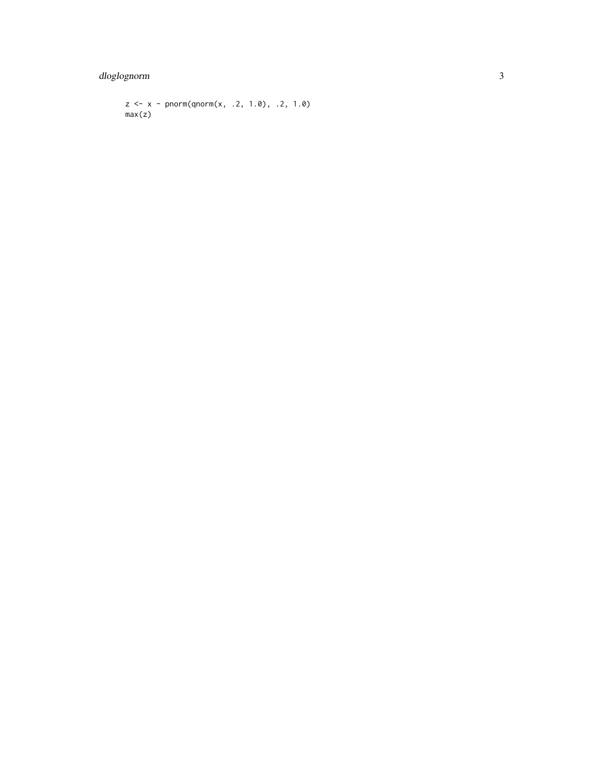dloglognorm

```
z \le x - \text{norm}(qnorm(x, .2, 1.0), .2, 1.0)max(z)
```